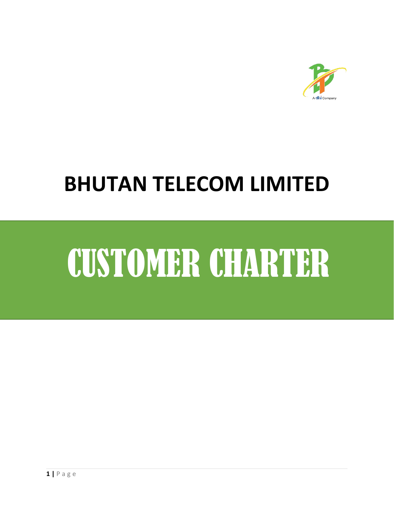

# **BHUTAN TELECOM LIMITED**

# CUSTOMER CHARTER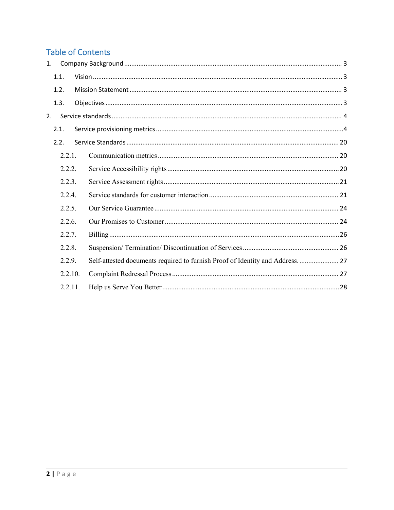# **Table of Contents**

| $\mathbf{1}$ . |         |                                                                              |  |
|----------------|---------|------------------------------------------------------------------------------|--|
| 1.1.           |         |                                                                              |  |
| 1.2.           |         |                                                                              |  |
| 1.3.           |         |                                                                              |  |
| 2 <sup>1</sup> |         |                                                                              |  |
| 2.1.           |         |                                                                              |  |
| 2.2.           |         |                                                                              |  |
|                | 2.2.1.  |                                                                              |  |
|                | 2.2.2.  |                                                                              |  |
|                | 2.2.3.  |                                                                              |  |
|                | 2.2.4.  |                                                                              |  |
|                | 2.2.5.  |                                                                              |  |
|                | 2.2.6.  |                                                                              |  |
|                | 2.2.7.  |                                                                              |  |
|                | 2.2.8.  |                                                                              |  |
|                | 2.2.9.  | Self-attested documents required to furnish Proof of Identity and Address 27 |  |
|                | 2.2.10. |                                                                              |  |
|                | 2.2.11. |                                                                              |  |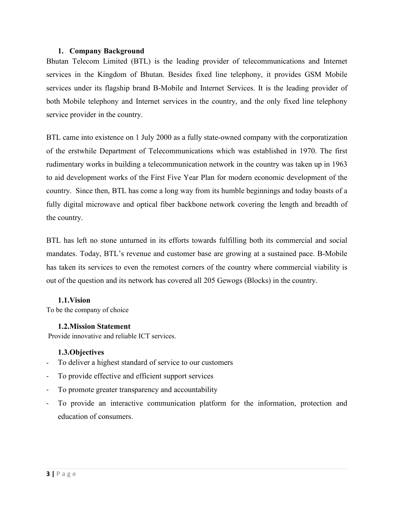#### <span id="page-2-0"></span>**1. Company Background**

Bhutan Telecom Limited (BTL) is the leading provider of telecommunications and Internet services in the Kingdom of Bhutan. Besides fixed line telephony, it provides GSM Mobile services under its flagship brand B-Mobile and Internet Services. It is the leading provider of both Mobile telephony and Internet services in the country, and the only fixed line telephony service provider in the country.

BTL came into existence on 1 July 2000 as a fully state-owned company with the corporatization of the erstwhile Department of Telecommunications which was established in 1970. The first rudimentary works in building a telecommunication network in the country was taken up in 1963 to aid development works of the First Five Year Plan for modern economic development of the country. Since then, BTL has come a long way from its humble beginnings and today boasts of a fully digital microwave and optical fiber backbone network covering the length and breadth of the country.

BTL has left no stone unturned in its efforts towards fulfilling both its commercial and social mandates. Today, BTL's revenue and customer base are growing at a sustained pace. B-Mobile has taken its services to even the remotest corners of the country where commercial viability is out of the question and its network has covered all 205 Gewogs (Blocks) in the country.

#### <span id="page-2-1"></span>**1.1.Vision**

To be the company of choice

# <span id="page-2-2"></span>**1.2.Mission Statement**

Provide innovative and reliable ICT services.

# <span id="page-2-3"></span>**1.3.Objectives**

- To deliver a highest standard of service to our customers
- To provide effective and efficient support services
- To promote greater transparency and accountability
- To provide an interactive communication platform for the information, protection and education of consumers.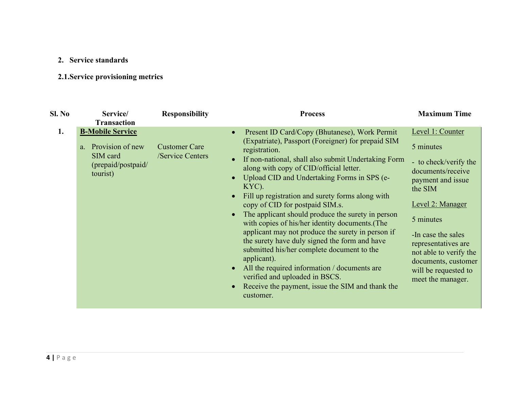# **2. Service standards**

# **2.1.Service provisioning metrics**

<span id="page-3-1"></span><span id="page-3-0"></span>

| Sl. No<br><b>Maximum Time</b><br>Service/<br><b>Responsibility</b><br><b>Process</b>                                                                                                                                                                                                                                                                                                                                                                                                                                                                                                                                                                                                                                                                                                                                                                                                                                                                                                                                                                                                                                                                                                                                                                |  |
|-----------------------------------------------------------------------------------------------------------------------------------------------------------------------------------------------------------------------------------------------------------------------------------------------------------------------------------------------------------------------------------------------------------------------------------------------------------------------------------------------------------------------------------------------------------------------------------------------------------------------------------------------------------------------------------------------------------------------------------------------------------------------------------------------------------------------------------------------------------------------------------------------------------------------------------------------------------------------------------------------------------------------------------------------------------------------------------------------------------------------------------------------------------------------------------------------------------------------------------------------------|--|
| <b>Transaction</b>                                                                                                                                                                                                                                                                                                                                                                                                                                                                                                                                                                                                                                                                                                                                                                                                                                                                                                                                                                                                                                                                                                                                                                                                                                  |  |
| <b>B-Mobile Service</b><br>Level 1: Counter<br>Present ID Card/Copy (Bhutanese), Work Permit<br>1.<br>(Expatriate), Passport (Foreigner) for prepaid SIM<br>Provision of new<br><b>Customer Care</b><br>5 minutes<br>a.<br>registration.<br>SIM card<br>/Service Centers<br>If non-national, shall also submit Undertaking Form<br>- to check/verify the<br>(prepaid/postpaid/<br>along with copy of CID/official letter.<br>documents/receive<br>tourist)<br>Upload CID and Undertaking Forms in SPS (e-<br>payment and issue<br>KYC).<br>the SIM<br>Fill up registration and surety forms along with<br>Level 2: Manager<br>copy of CID for postpaid SIM.s.<br>The applicant should produce the surety in person<br>5 minutes<br>with copies of his/her identity documents. (The<br>applicant may not produce the surety in person if<br>-In case the sales<br>the surety have duly signed the form and have<br>representatives are<br>submitted his/her complete document to the<br>not able to verify the<br>applicant).<br>documents, customer<br>All the required information / documents are<br>will be requested to<br>verified and uploaded in BSCS.<br>meet the manager.<br>Receive the payment, issue the SIM and thank the<br>customer. |  |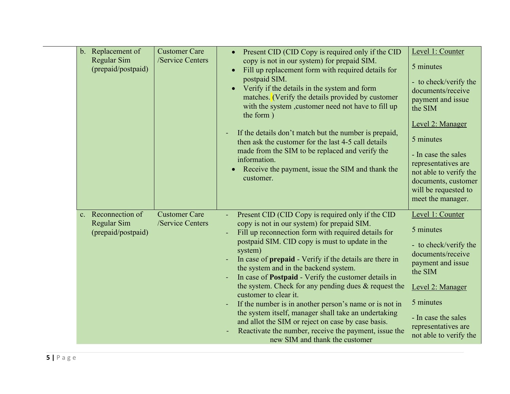| b. Replacement of<br>Regular Sim<br>(prepaid/postpaid)  | <b>Customer Care</b><br>/Service Centers | Present CID (CID Copy is required only if the CID<br>$\bullet$<br>copy is not in our system) for prepaid SIM.<br>Fill up replacement form with required details for<br>$\bullet$<br>postpaid SIM.<br>Verify if the details in the system and form<br>$\bullet$<br>matches. (Verify the details provided by customer<br>with the system , customer need not have to fill up<br>the form)<br>If the details don't match but the number is prepaid,<br>$\blacksquare$<br>then ask the customer for the last 4-5 call details<br>made from the SIM to be replaced and verify the<br>information.<br>Receive the payment, issue the SIM and thank the<br>customer.                                                                                   | Level 1: Counter<br>5 minutes<br>- to check/verify the<br>documents/receive<br>payment and issue<br>the SIM<br>Level 2: Manager<br>5 minutes<br>- In case the sales<br>representatives are<br>not able to verify the<br>documents, customer<br>will be requested to<br>meet the manager. |
|---------------------------------------------------------|------------------------------------------|-------------------------------------------------------------------------------------------------------------------------------------------------------------------------------------------------------------------------------------------------------------------------------------------------------------------------------------------------------------------------------------------------------------------------------------------------------------------------------------------------------------------------------------------------------------------------------------------------------------------------------------------------------------------------------------------------------------------------------------------------|------------------------------------------------------------------------------------------------------------------------------------------------------------------------------------------------------------------------------------------------------------------------------------------|
| c. Reconnection of<br>Regular Sim<br>(prepaid/postpaid) | <b>Customer Care</b><br>/Service Centers | Present CID (CID Copy is required only if the CID<br>copy is not in our system) for prepaid SIM.<br>Fill up reconnection form with required details for<br>postpaid SIM. CID copy is must to update in the<br>system)<br>In case of prepaid - Verify if the details are there in<br>the system and in the backend system.<br>In case of <b>Postpaid</b> - Verify the customer details in<br>the system. Check for any pending dues $\&$ request the<br>customer to clear it.<br>If the number is in another person's name or is not in<br>the system itself, manager shall take an undertaking<br>and allot the SIM or reject on case by case basis.<br>Reactivate the number, receive the payment, issue the<br>new SIM and thank the customer | Level 1: Counter<br>5 minutes<br>- to check/verify the<br>documents/receive<br>payment and issue<br>the SIM<br>Level 2: Manager<br>5 minutes<br>- In case the sales<br>representatives are<br>not able to verify the                                                                     |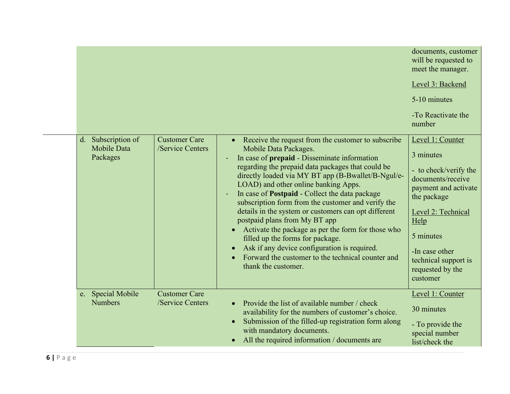|                                               |                                          |                                                                                                                                                                                                                                                                                                                                                                                                                                                                                                                                                                                                                                                                                                       | documents, customer<br>will be requested to<br>meet the manager.                                                                                                                                                                        |
|-----------------------------------------------|------------------------------------------|-------------------------------------------------------------------------------------------------------------------------------------------------------------------------------------------------------------------------------------------------------------------------------------------------------------------------------------------------------------------------------------------------------------------------------------------------------------------------------------------------------------------------------------------------------------------------------------------------------------------------------------------------------------------------------------------------------|-----------------------------------------------------------------------------------------------------------------------------------------------------------------------------------------------------------------------------------------|
|                                               |                                          |                                                                                                                                                                                                                                                                                                                                                                                                                                                                                                                                                                                                                                                                                                       | Level 3: Backend                                                                                                                                                                                                                        |
|                                               |                                          |                                                                                                                                                                                                                                                                                                                                                                                                                                                                                                                                                                                                                                                                                                       | 5-10 minutes                                                                                                                                                                                                                            |
|                                               |                                          |                                                                                                                                                                                                                                                                                                                                                                                                                                                                                                                                                                                                                                                                                                       | -To Reactivate the<br>number                                                                                                                                                                                                            |
| d. Subscription of<br>Mobile Data<br>Packages | <b>Customer Care</b><br>/Service Centers | Receive the request from the customer to subscribe<br>Mobile Data Packages.<br>In case of prepaid - Disseminate information<br>regarding the prepaid data packages that could be<br>directly loaded via MY BT app (B-Bwallet/B-Ngul/e-<br>LOAD) and other online banking Apps.<br>In case of Postpaid - Collect the data package<br>subscription form from the customer and verify the<br>details in the system or customers can opt different<br>postpaid plans from My BT app<br>Activate the package as per the form for those who<br>filled up the forms for package.<br>Ask if any device configuration is required.<br>Forward the customer to the technical counter and<br>thank the customer. | Level 1: Counter<br>3 minutes<br>- to check/verify the<br>documents/receive<br>payment and activate<br>the package<br>Level 2: Technical<br>Help<br>5 minutes<br>-In case other<br>technical support is<br>requested by the<br>customer |
| e. Special Mobile<br><b>Numbers</b>           | <b>Customer Care</b><br>/Service Centers | Provide the list of available number / check<br>availability for the numbers of customer's choice.<br>Submission of the filled-up registration form along<br>with mandatory documents.<br>All the required information / documents are                                                                                                                                                                                                                                                                                                                                                                                                                                                                | Level 1: Counter<br>30 minutes<br>- To provide the<br>special number<br>list/check the                                                                                                                                                  |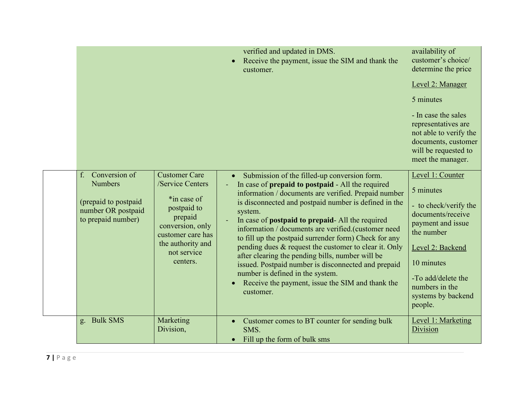|                                                                                                           |                                                                                                                                                                            | verified and updated in DMS.<br>Receive the payment, issue the SIM and thank the<br>customer.                                                                                                                                                                                                                                                                                                                                                                                                                                                                                                                                                                                      | availability of<br>customer's choice/<br>determine the price<br>Level 2: Manager<br>5 minutes<br>- In case the sales<br>representatives are<br>not able to verify the<br>documents, customer<br>will be requested to<br>meet the manager. |
|-----------------------------------------------------------------------------------------------------------|----------------------------------------------------------------------------------------------------------------------------------------------------------------------------|------------------------------------------------------------------------------------------------------------------------------------------------------------------------------------------------------------------------------------------------------------------------------------------------------------------------------------------------------------------------------------------------------------------------------------------------------------------------------------------------------------------------------------------------------------------------------------------------------------------------------------------------------------------------------------|-------------------------------------------------------------------------------------------------------------------------------------------------------------------------------------------------------------------------------------------|
| Conversion of<br>f.<br><b>Numbers</b><br>(prepaid to postpaid<br>number OR postpaid<br>to prepaid number) | <b>Customer Care</b><br>/Service Centers<br>*in case of<br>postpaid to<br>prepaid<br>conversion, only<br>customer care has<br>the authority and<br>not service<br>centers. | Submission of the filled-up conversion form.<br>In case of prepaid to postpaid - All the required<br>information / documents are verified. Prepaid number<br>is disconnected and postpaid number is defined in the<br>system.<br>In case of <b>postpaid to prepaid</b> - All the required<br>information / documents are verified.(customer need<br>to fill up the postpaid surrender form) Check for any<br>pending dues & request the customer to clear it. Only<br>after clearing the pending bills, number will be<br>issued. Postpaid number is disconnected and prepaid<br>number is defined in the system.<br>Receive the payment, issue the SIM and thank the<br>customer. | Level 1: Counter<br>5 minutes<br>- to check/verify the<br>documents/receive<br>payment and issue<br>the number<br>Level 2: Backend<br>10 minutes<br>-To add/delete the<br>numbers in the<br>systems by backend<br>people.                 |
| g. Bulk SMS                                                                                               | Marketing<br>Division,                                                                                                                                                     | Customer comes to BT counter for sending bulk<br>SMS.<br>Fill up the form of bulk sms                                                                                                                                                                                                                                                                                                                                                                                                                                                                                                                                                                                              | Level 1: Marketing<br>Division                                                                                                                                                                                                            |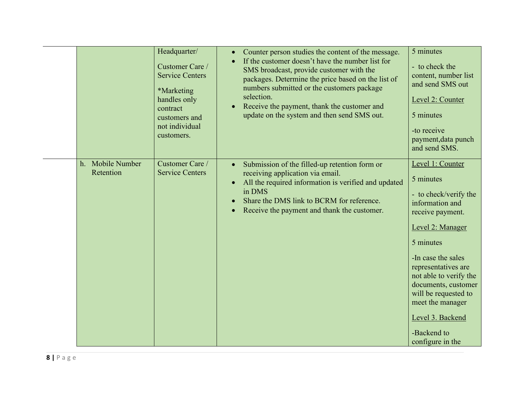|                               | Headquarter/<br>Customer Care /<br><b>Service Centers</b><br><i>*Marketing</i><br>handles only<br>contract<br>customers and<br>not individual<br>customers. | Counter person studies the content of the message.<br>$\bullet$<br>If the customer doesn't have the number list for<br>$\bullet$<br>SMS broadcast, provide customer with the<br>packages. Determine the price based on the list of<br>numbers submitted or the customers package<br>selection.<br>Receive the payment, thank the customer and<br>$\bullet$<br>update on the system and then send SMS out. | 5 minutes<br>- to check the<br>content, number list<br>and send SMS out<br>Level 2: Counter<br>5 minutes<br>-to receive<br>payment, data punch<br>and send SMS.                                                                                                                                                                 |
|-------------------------------|-------------------------------------------------------------------------------------------------------------------------------------------------------------|-----------------------------------------------------------------------------------------------------------------------------------------------------------------------------------------------------------------------------------------------------------------------------------------------------------------------------------------------------------------------------------------------------------|---------------------------------------------------------------------------------------------------------------------------------------------------------------------------------------------------------------------------------------------------------------------------------------------------------------------------------|
| h. Mobile Number<br>Retention | Customer Care /<br><b>Service Centers</b>                                                                                                                   | Submission of the filled-up retention form or<br>$\bullet$<br>receiving application via email.<br>All the required information is verified and updated<br>$\bullet$<br>in DMS<br>Share the DMS link to BCRM for reference.<br>$\bullet$<br>Receive the payment and thank the customer.<br>$\bullet$                                                                                                       | Level 1: Counter<br>5 minutes<br>- to check/verify the<br>information and<br>receive payment.<br>Level 2: Manager<br>5 minutes<br>-In case the sales<br>representatives are<br>not able to verify the<br>documents, customer<br>will be requested to<br>meet the manager<br>Level 3. Backend<br>-Backend to<br>configure in the |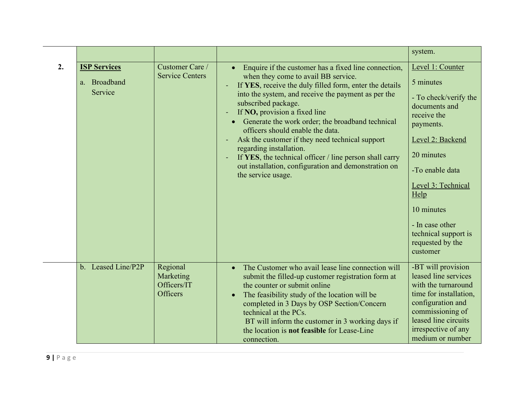|                                                |                                                         |                                                                                                                                                                                                                                                                                                                                                                                                                                                                                                                                                                                                                | system.                                                                                                                                                                                                                                                                         |
|------------------------------------------------|---------------------------------------------------------|----------------------------------------------------------------------------------------------------------------------------------------------------------------------------------------------------------------------------------------------------------------------------------------------------------------------------------------------------------------------------------------------------------------------------------------------------------------------------------------------------------------------------------------------------------------------------------------------------------------|---------------------------------------------------------------------------------------------------------------------------------------------------------------------------------------------------------------------------------------------------------------------------------|
| <b>ISP Services</b><br>a. Broadband<br>Service | Customer Care /<br><b>Service Centers</b>               | Enquire if the customer has a fixed line connection,<br>$\bullet$<br>when they come to avail BB service.<br>If YES, receive the duly filled form, enter the details<br>into the system, and receive the payment as per the<br>subscribed package.<br>If NO, provision a fixed line<br>Generate the work order; the broadband technical<br>$\bullet$<br>officers should enable the data.<br>Ask the customer if they need technical support<br>regarding installation.<br>If YES, the technical officer / line person shall carry<br>out installation, configuration and demonstration on<br>the service usage. | Level 1: Counter<br>5 minutes<br>- To check/verify the<br>documents and<br>receive the<br>payments.<br>Level 2: Backend<br>20 minutes<br>-To enable data<br>Level 3: Technical<br>Help<br>10 minutes<br>- In case other<br>technical support is<br>requested by the<br>customer |
| b. Leased Line/P2P                             | Regional<br>Marketing<br>Officers/IT<br><b>Officers</b> | The Customer who avail lease line connection will<br>$\bullet$<br>submit the filled-up customer registration form at<br>the counter or submit online<br>The feasibility study of the location will be<br>$\bullet$<br>completed in 3 Days by OSP Section/Concern<br>technical at the PCs.<br>BT will inform the customer in 3 working days if<br>the location is <b>not feasible</b> for Lease-Line<br>connection.                                                                                                                                                                                             | -BT will provision<br>leased line services<br>with the turnaround<br>time for installation,<br>configuration and<br>commissioning of<br>leased line circuits<br>irrespective of any<br>medium or number                                                                         |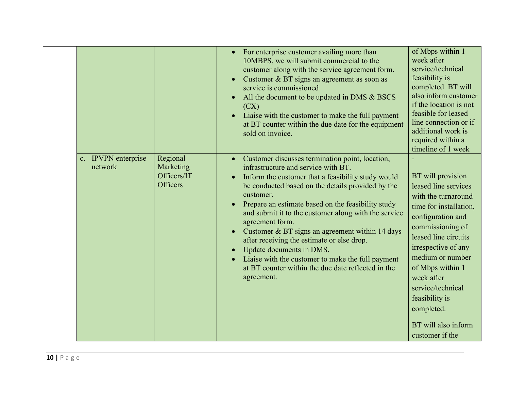|                                |                                                  | For enterprise customer availing more than<br>10MBPS, we will submit commercial to the<br>customer along with the service agreement form.<br>Customer & BT signs an agreement as soon as<br>service is commissioned<br>All the document to be updated in DMS & BSCS<br>(CX)<br>Liaise with the customer to make the full payment<br>at BT counter within the due date for the equipment<br>sold on invoice.                                                                                                                                                                                                        | of Mbps within 1<br>week after<br>service/technical<br>feasibility is<br>completed. BT will<br>also inform customer<br>if the location is not<br>feasible for leased<br>line connection or if<br>additional work is<br>required within a<br>timeline of 1 week                                                                          |  |
|--------------------------------|--------------------------------------------------|--------------------------------------------------------------------------------------------------------------------------------------------------------------------------------------------------------------------------------------------------------------------------------------------------------------------------------------------------------------------------------------------------------------------------------------------------------------------------------------------------------------------------------------------------------------------------------------------------------------------|-----------------------------------------------------------------------------------------------------------------------------------------------------------------------------------------------------------------------------------------------------------------------------------------------------------------------------------------|--|
| c. IPVPN enterprise<br>network | Regional<br>Marketing<br>Officers/IT<br>Officers | Customer discusses termination point, location,<br>infrastructure and service with BT.<br>Inform the customer that a feasibility study would<br>$\bullet$<br>be conducted based on the details provided by the<br>customer.<br>Prepare an estimate based on the feasibility study<br>and submit it to the customer along with the service<br>agreement form.<br>Customer & BT signs an agreement within 14 days<br>after receiving the estimate or else drop.<br>Update documents in DMS.<br>Liaise with the customer to make the full payment<br>at BT counter within the due date reflected in the<br>agreement. | BT will provision<br>leased line services<br>with the turnaround<br>time for installation,<br>configuration and<br>commissioning of<br>leased line circuits<br>irrespective of any<br>medium or number<br>of Mbps within 1<br>week after<br>service/technical<br>feasibility is<br>completed.<br>BT will also inform<br>customer if the |  |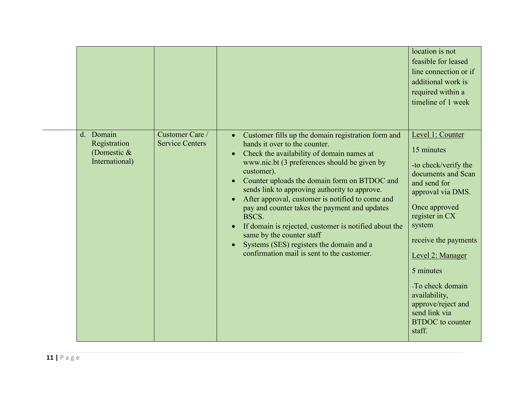| <b>Service Centers</b><br>hands it over to the counter.<br>Registration<br>15 minutes<br>(Domestic $&$<br>Check the availability of domain names at<br>$\bullet$<br>International)<br>www.nic.bt (3 preferences should be given by<br>-to check/verify the<br>customer).<br>documents and Scan<br>Counter uploads the domain form on BTDOC and<br>and send for<br>sends link to approving authority to approve.<br>approval via DMS.<br>After approval, customer is notified to come and<br>Once approved<br>pay and counter takes the payment and updates<br>register in CX<br>BSCS.<br>system<br>If domain is rejected, customer is notified about the<br>$\bullet$<br>same by the counter staff<br>receive the payments<br>Systems (SES) registers the domain and a<br>confirmation mail is sent to the customer.<br>Level 2: Manager<br>5 minutes<br>-To check domain<br>availability,<br>approve/reject and<br>send link via<br><b>BTDOC</b> to counter<br>staff. |           |                 |                                                                 | location is not<br>feasible for leased<br>line connection or if<br>additional work is<br>required within a<br>timeline of 1 week |
|------------------------------------------------------------------------------------------------------------------------------------------------------------------------------------------------------------------------------------------------------------------------------------------------------------------------------------------------------------------------------------------------------------------------------------------------------------------------------------------------------------------------------------------------------------------------------------------------------------------------------------------------------------------------------------------------------------------------------------------------------------------------------------------------------------------------------------------------------------------------------------------------------------------------------------------------------------------------|-----------|-----------------|-----------------------------------------------------------------|----------------------------------------------------------------------------------------------------------------------------------|
|                                                                                                                                                                                                                                                                                                                                                                                                                                                                                                                                                                                                                                                                                                                                                                                                                                                                                                                                                                        | d. Domain | Customer Care / | Customer fills up the domain registration form and<br>$\bullet$ | Level 1: Counter                                                                                                                 |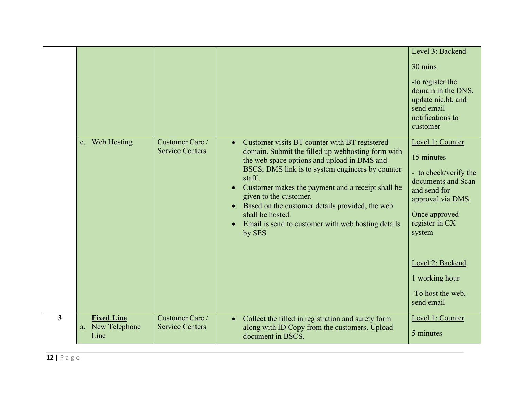|              | e. Web Hosting                                | Customer Care /                           | Customer visits BT counter with BT registered<br>$\bullet$                                                                                                                                                                                                                                                                                                                                                     | Level 3: Backend<br>30 mins<br>-to register the<br>domain in the DNS,<br>update nic.bt, and<br>send email<br>notifications to<br>customer<br>Level 1: Counter                                                        |
|--------------|-----------------------------------------------|-------------------------------------------|----------------------------------------------------------------------------------------------------------------------------------------------------------------------------------------------------------------------------------------------------------------------------------------------------------------------------------------------------------------------------------------------------------------|----------------------------------------------------------------------------------------------------------------------------------------------------------------------------------------------------------------------|
|              |                                               | <b>Service Centers</b>                    | domain. Submit the filled up webhosting form with<br>the web space options and upload in DMS and<br>BSCS, DMS link is to system engineers by counter<br>staff.<br>Customer makes the payment and a receipt shall be<br>$\bullet$<br>given to the customer.<br>Based on the customer details provided, the web<br>$\bullet$<br>shall be hosted.<br>Email is send to customer with web hosting details<br>by SES | 15 minutes<br>- to check/verify the<br>documents and Scan<br>and send for<br>approval via DMS.<br>Once approved<br>register in CX<br>system<br>Level 2: Backend<br>1 working hour<br>-To host the web,<br>send email |
| $\mathbf{3}$ | <b>Fixed Line</b><br>a. New Telephone<br>Line | Customer Care /<br><b>Service Centers</b> | Collect the filled in registration and surety form<br>$\bullet$<br>along with ID Copy from the customers. Upload<br>document in BSCS.                                                                                                                                                                                                                                                                          | Level 1: Counter<br>5 minutes                                                                                                                                                                                        |
|              |                                               |                                           |                                                                                                                                                                                                                                                                                                                                                                                                                |                                                                                                                                                                                                                      |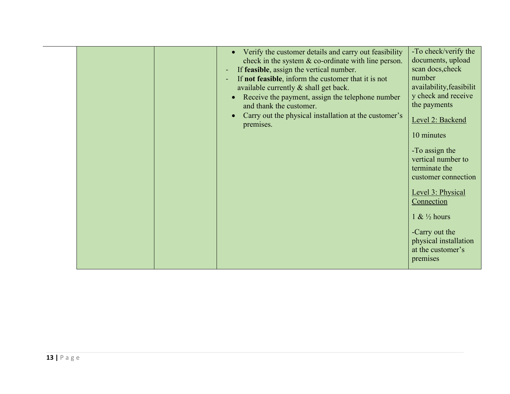|  | Verify the customer details and carry out feasibility                 | -To check/verify the      |  |
|--|-----------------------------------------------------------------------|---------------------------|--|
|  | check in the system $\&$ co-ordinate with line person.                | documents, upload         |  |
|  | If feasible, assign the vertical number.<br>$\blacksquare$            | scan docs, check          |  |
|  | If not feasible, inform the customer that it is not<br>$\blacksquare$ | number                    |  |
|  | available currently & shall get back.                                 | availability, feasibilit  |  |
|  | Receive the payment, assign the telephone number                      | y check and receive       |  |
|  | and thank the customer.                                               | the payments              |  |
|  | Carry out the physical installation at the customer's                 |                           |  |
|  |                                                                       | Level 2: Backend          |  |
|  | premises.                                                             |                           |  |
|  |                                                                       | 10 minutes                |  |
|  |                                                                       | -To assign the            |  |
|  |                                                                       | vertical number to        |  |
|  |                                                                       | terminate the             |  |
|  |                                                                       |                           |  |
|  |                                                                       | customer connection       |  |
|  |                                                                       | Level 3: Physical         |  |
|  |                                                                       | Connection                |  |
|  |                                                                       |                           |  |
|  |                                                                       | $1 & 4 \frac{1}{2}$ hours |  |
|  |                                                                       |                           |  |
|  |                                                                       | -Carry out the            |  |
|  |                                                                       | physical installation     |  |
|  |                                                                       | at the customer's         |  |
|  |                                                                       | premises                  |  |
|  |                                                                       |                           |  |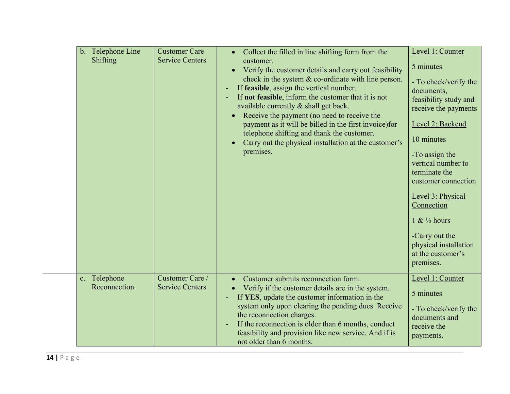| Telephone Line<br>$\mathbf{b}$ .<br>Shifting | <b>Customer Care</b><br><b>Service Centers</b> | Collect the filled in line shifting form from the<br>$\bullet$<br>customer.<br>Verify the customer details and carry out feasibility<br>$\bullet$<br>check in the system & co-ordinate with line person.<br>If feasible, assign the vertical number.<br>$\blacksquare$<br>If not feasible, inform the customer that it is not<br>$\blacksquare$<br>available currently & shall get back.<br>Receive the payment (no need to receive the<br>$\bullet$<br>payment as it will be billed in the first invoice) for<br>telephone shifting and thank the customer.<br>Carry out the physical installation at the customer's<br>$\bullet$<br>premises. | Level 1: Counter<br>5 minutes<br>- To check/verify the<br>documents,<br>feasibility study and<br>receive the payments<br>Level 2: Backend<br>10 minutes<br>-To assign the<br>vertical number to<br>terminate the<br>customer connection<br>Level 3: Physical<br>Connection<br>$1 \& ½ hours$<br>-Carry out the<br>physical installation<br>at the customer's<br>premises. |
|----------------------------------------------|------------------------------------------------|-------------------------------------------------------------------------------------------------------------------------------------------------------------------------------------------------------------------------------------------------------------------------------------------------------------------------------------------------------------------------------------------------------------------------------------------------------------------------------------------------------------------------------------------------------------------------------------------------------------------------------------------------|---------------------------------------------------------------------------------------------------------------------------------------------------------------------------------------------------------------------------------------------------------------------------------------------------------------------------------------------------------------------------|
| c. Telephone<br>Reconnection                 | Customer Care /<br><b>Service Centers</b>      | Customer submits reconnection form.<br>$\bullet$<br>Verify if the customer details are in the system.<br>If YES, update the customer information in the<br>$\blacksquare$<br>system only upon clearing the pending dues. Receive<br>the reconnection charges.<br>If the reconnection is older than 6 months, conduct<br>$\sim$<br>feasibility and provision like new service. And if is<br>not older than 6 months.                                                                                                                                                                                                                             | Level 1: Counter<br>5 minutes<br>- To check/verify the<br>documents and<br>receive the<br>payments.                                                                                                                                                                                                                                                                       |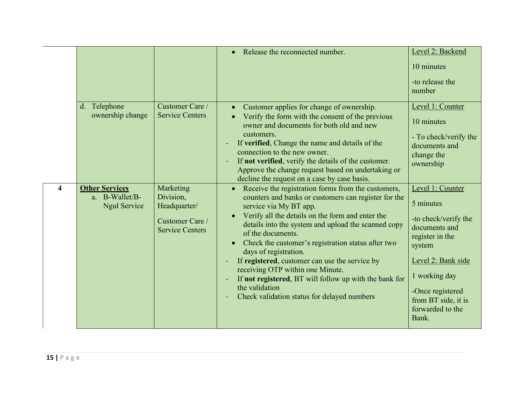|                         |                                                         |                                                                                     | Release the reconnected number.                                                                                                                                                                                                                                                                                                                                                                                                                                                                                                                                                        | Level 2: Backend<br>10 minutes<br>-to release the<br>number                                                                                                                                                        |
|-------------------------|---------------------------------------------------------|-------------------------------------------------------------------------------------|----------------------------------------------------------------------------------------------------------------------------------------------------------------------------------------------------------------------------------------------------------------------------------------------------------------------------------------------------------------------------------------------------------------------------------------------------------------------------------------------------------------------------------------------------------------------------------------|--------------------------------------------------------------------------------------------------------------------------------------------------------------------------------------------------------------------|
|                         | d. Telephone<br>ownership change                        | Customer Care /<br><b>Service Centers</b>                                           | Customer applies for change of ownership.<br>Verify the form with the consent of the previous<br>owner and documents for both old and new<br>customers.<br>If verified, Change the name and details of the<br>connection to the new owner.<br>If not verified, verify the details of the customer.<br>$\blacksquare$<br>Approve the change request based on undertaking or<br>decline the request on a case by case basis.                                                                                                                                                             | Level 1: Counter<br>10 minutes<br>- To check/verify the<br>documents and<br>change the<br>ownership                                                                                                                |
| $\overline{\mathbf{4}}$ | <b>Other Services</b><br>a. B-Wallet/B-<br>Ngul Service | Marketing<br>Division,<br>Headquarter/<br>Customer Care /<br><b>Service Centers</b> | Receive the registration forms from the customers,<br>counters and banks or customers can register for the<br>service via My BT app.<br>Verify all the details on the form and enter the<br>details into the system and upload the scanned copy<br>of the documents.<br>Check the customer's registration status after two<br>days of registration.<br>If registered, customer can use the service by<br>receiving OTP within one Minute.<br>If not registered, BT will follow up with the bank for<br>$\blacksquare$<br>the validation<br>Check validation status for delayed numbers | Level 1: Counter<br>5 minutes<br>-to check/verify the<br>documents and<br>register in the<br>system<br>Level 2: Bank side<br>1 working day<br>-Once registered<br>from BT side, it is<br>forwarded to the<br>Bank. |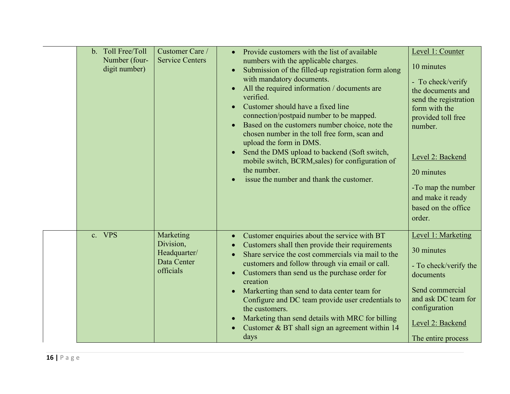|  | b. Toll Free/Toll<br>Number (four-<br>digit number) | Customer Care /<br><b>Service Centers</b>                          | Provide customers with the list of available<br>numbers with the applicable charges.<br>Submission of the filled-up registration form along<br>$\bullet$<br>with mandatory documents.<br>All the required information / documents are<br>$\bullet$<br>verified.<br>Customer should have a fixed line<br>connection/postpaid number to be mapped.<br>Based on the customers number choice, note the<br>chosen number in the toll free form, scan and<br>upload the form in DMS.<br>Send the DMS upload to backend (Soft switch,<br>mobile switch, BCRM, sales) for configuration of<br>the number.<br>issue the number and thank the customer. | Level 1: Counter<br>10 minutes<br>- To check/verify<br>the documents and<br>send the registration<br>form with the<br>provided toll free<br>number.<br>Level 2: Backend<br>20 minutes<br>-To map the number<br>and make it ready<br>based on the office<br>order. |
|--|-----------------------------------------------------|--------------------------------------------------------------------|-----------------------------------------------------------------------------------------------------------------------------------------------------------------------------------------------------------------------------------------------------------------------------------------------------------------------------------------------------------------------------------------------------------------------------------------------------------------------------------------------------------------------------------------------------------------------------------------------------------------------------------------------|-------------------------------------------------------------------------------------------------------------------------------------------------------------------------------------------------------------------------------------------------------------------|
|  | c. VPS                                              | Marketing<br>Division,<br>Headquarter/<br>Data Center<br>officials | Customer enquiries about the service with BT<br>Customers shall then provide their requirements<br>Share service the cost commercials via mail to the<br>customers and follow through via email or call.<br>Customers than send us the purchase order for<br>$\bullet$<br>creation<br>Markerting than send to data center team for<br>Configure and DC team provide user credentials to<br>the customers.<br>Marketing than send details with MRC for billing<br>$\bullet$<br>Customer & BT shall sign an agreement within 14<br>days                                                                                                         | Level 1: Marketing<br>30 minutes<br>- To check/verify the<br>documents<br>Send commercial<br>and ask DC team for<br>configuration<br>Level 2: Backend<br>The entire process                                                                                       |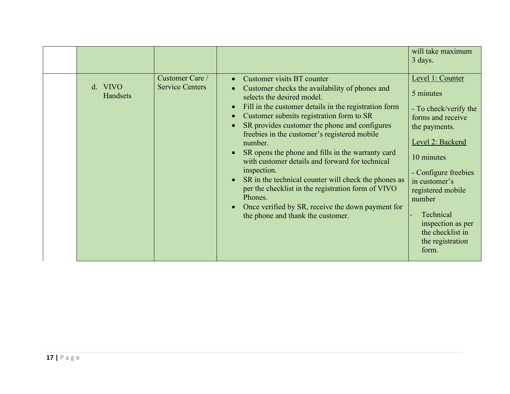|                     |                                           |                                                                                                                                                                                                                                                                                                                                                                                                                                                                                                                                                                                                                                                                                    | will take maximum<br>3 days.                                                                                                                                                                                                                                                              |
|---------------------|-------------------------------------------|------------------------------------------------------------------------------------------------------------------------------------------------------------------------------------------------------------------------------------------------------------------------------------------------------------------------------------------------------------------------------------------------------------------------------------------------------------------------------------------------------------------------------------------------------------------------------------------------------------------------------------------------------------------------------------|-------------------------------------------------------------------------------------------------------------------------------------------------------------------------------------------------------------------------------------------------------------------------------------------|
| d. VIVO<br>Handsets | Customer Care /<br><b>Service Centers</b> | Customer visits BT counter<br>$\bullet$<br>Customer checks the availability of phones and<br>selects the desired model.<br>Fill in the customer details in the registration form<br>Customer submits registration form to SR<br>SR provides customer the phone and configures<br>freebies in the customer's registered mobile<br>number.<br>SR opens the phone and fills in the warranty card<br>with customer details and forward for technical<br>inspection.<br>SR in the technical counter will check the phones as<br>per the checklist in the registration form of VIVO<br>Phones.<br>Once verified by SR, receive the down payment for<br>the phone and thank the customer. | Level 1: Counter<br>5 minutes<br>- To check/verify the<br>forms and receive<br>the payments.<br>Level 2: Backend<br>10 minutes<br>- Configure freebies<br>in customer's<br>registered mobile<br>number<br>Technical<br>inspection as per<br>the checklist in<br>the registration<br>form. |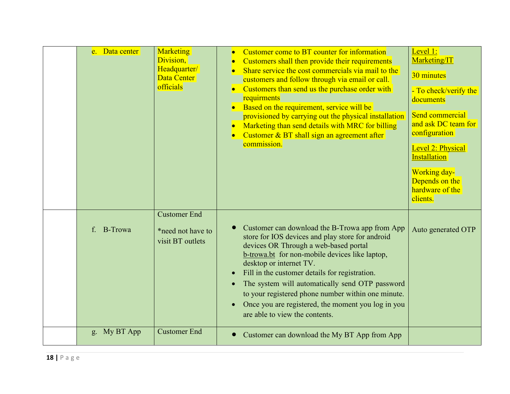| e. Data center                | Marketing<br>Division,<br>Headquarter/<br>Data Center<br>officials | Customer come to BT counter for information<br>Customers shall then provide their requirements<br>Share service the cost commercials via mail to the<br>customers and follow through via email or call.<br>Customers than send us the purchase order with<br>$\bullet$<br>requirments<br>Based on the requirement, service will be<br>$\bullet$<br>provisioned by carrying out the physical installation<br>Marketing than send details with MRC for billing<br>$\bullet$<br>Customer & BT shall sign an agreement after<br>commission. | Level 1:<br>Marketing/IT<br>30 minutes<br>- To check/verify the<br>documents<br>Send commercial<br>and ask DC team for<br>configuration<br>Level 2: Physical<br>Installation<br><b>Working day-</b><br>Depends on the<br>hardware of the<br>clients. |  |
|-------------------------------|--------------------------------------------------------------------|-----------------------------------------------------------------------------------------------------------------------------------------------------------------------------------------------------------------------------------------------------------------------------------------------------------------------------------------------------------------------------------------------------------------------------------------------------------------------------------------------------------------------------------------|------------------------------------------------------------------------------------------------------------------------------------------------------------------------------------------------------------------------------------------------------|--|
| <b>B-Trowa</b><br>$f_{\cdot}$ | <b>Customer End</b><br>*need not have to<br>visit BT outlets       | Customer can download the B-Trowa app from App<br>store for IOS devices and play store for android<br>devices OR Through a web-based portal<br>b-trowa.bt for non-mobile devices like laptop,<br>desktop or internet TV.<br>Fill in the customer details for registration.<br>$\bullet$<br>The system will automatically send OTP password<br>$\bullet$<br>to your registered phone number within one minute.<br>Once you are registered, the moment you log in you<br>$\bullet$<br>are able to view the contents.                      | Auto generated OTP                                                                                                                                                                                                                                   |  |
| g. My BT App                  | <b>Customer End</b>                                                | Customer can download the My BT App from App<br>$\bullet$                                                                                                                                                                                                                                                                                                                                                                                                                                                                               |                                                                                                                                                                                                                                                      |  |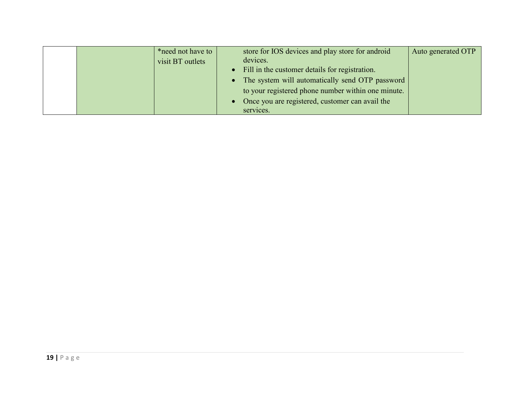|  | *need not have to | store for IOS devices and play store for android   | Auto generated OTP |  |
|--|-------------------|----------------------------------------------------|--------------------|--|
|  | visit BT outlets  | devices.                                           |                    |  |
|  |                   | Fill in the customer details for registration.     |                    |  |
|  |                   | The system will automatically send OTP password    |                    |  |
|  |                   | to your registered phone number within one minute. |                    |  |
|  |                   | Once you are registered, customer can avail the    |                    |  |
|  |                   | services.                                          |                    |  |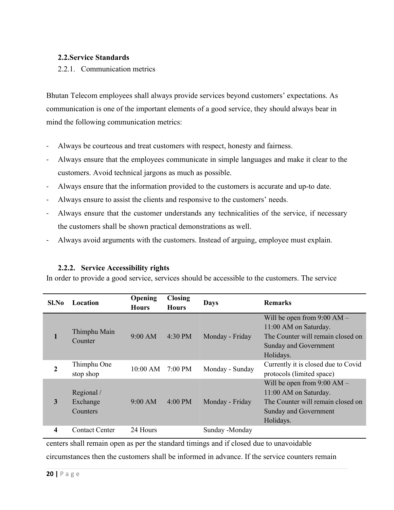# <span id="page-19-0"></span>**2.2.Service Standards**

### <span id="page-19-1"></span>2.2.1. Communication metrics

Bhutan Telecom employees shall always provide services beyond customers' expectations. As communication is one of the important elements of a good service, they should always bear in mind the following communication metrics:

- Always be courteous and treat customers with respect, honesty and fairness.
- Always ensure that the employees communicate in simple languages and make it clear to the customers. Avoid technical jargons as much as possible.
- Always ensure that the information provided to the customers is accurate and up-to date.
- Always ensure to assist the clients and responsive to the customers' needs.
- Always ensure that the customer understands any technicalities of the service, if necessary the customers shall be shown practical demonstrations as well.
- Always avoid arguments with the customers. Instead of arguing, employee must explain.

# **2.2.2. Service Accessibility rights**

In order to provide a good service, services should be accessible to the customers. The service

<span id="page-19-2"></span>

| Sl.No | Location              | Opening<br><b>Hours</b> | <b>Closing</b><br><b>Hours</b> | <b>Days</b>     | <b>Remarks</b>                      |
|-------|-----------------------|-------------------------|--------------------------------|-----------------|-------------------------------------|
|       |                       |                         |                                |                 | Will be open from $9:00$ AM $-$     |
|       | Thimphu Main          |                         |                                |                 | 11:00 AM on Saturday.               |
|       | Counter               | $9:00$ AM               | 4:30 PM                        | Monday - Friday | The Counter will remain closed on   |
|       |                       |                         |                                |                 | Sunday and Government               |
|       |                       |                         |                                |                 | Holidays.                           |
| 2     | Thimphu One           | $10:00$ AM              | 7:00 PM                        | Monday - Sunday | Currently it is closed due to Covid |
|       | stop shop             |                         |                                |                 | protocols (limited space)           |
|       |                       |                         |                                |                 | Will be open from $9:00 AM -$       |
|       | Regional/             |                         |                                |                 | 11:00 AM on Saturday.               |
| 3     | Exchange              | 9:00 AM                 | 4:00 PM                        | Monday - Friday | The Counter will remain closed on   |
|       | <b>Counters</b>       |                         |                                |                 | Sunday and Government               |
|       |                       |                         |                                |                 | Holidays.                           |
| 4     | <b>Contact Center</b> | 24 Hours                |                                | Sunday -Monday  |                                     |

centers shall remain open as per the standard timings and if closed due to unavoidable

circumstances then the customers shall be informed in advance. If the service counters remain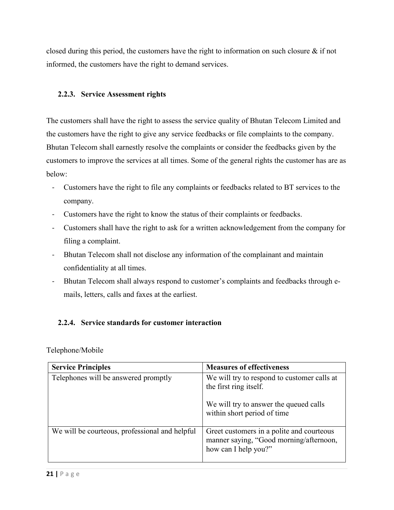closed during this period, the customers have the right to information on such closure  $\&$  if not informed, the customers have the right to demand services.

# <span id="page-20-0"></span>**2.2.3. Service Assessment rights**

The customers shall have the right to assess the service quality of Bhutan Telecom Limited and the customers have the right to give any service feedbacks or file complaints to the company. Bhutan Telecom shall earnestly resolve the complaints orconsider the feedbacks given by the customers to improve the services at all times. Some of the general rights the customer has are as below:

- Customers have the right to file any complaints or feedbacks related to BT services to the company.
- Customers have the right to know the status of their complaints or feedbacks.
- Customers shall have the right to ask for a written acknowledgement from the company for filing a complaint.
- Bhutan Telecom shall not disclose any information of the complainant and maintain confidentiality at all times.
- Bhutan Telecom shall always respond to customer's complaints and feedbacks through e mails, letters, calls and faxes at the earliest.

# <span id="page-20-1"></span>**2.2.4. Service standards for customer interaction**

# Telephone/Mobile

| <b>Service Principles</b>                      | <b>Measures of effectiveness</b>                                                                             |
|------------------------------------------------|--------------------------------------------------------------------------------------------------------------|
| Telephones will be answered promptly           | We will try to respond to customer calls at<br>the first ring itself.                                        |
|                                                | We will try to answer the queued calls<br>within short period of time                                        |
| We will be courteous, professional and helpful | Greet customers in a polite and courteous<br>manner saying, "Good morning/afternoon,<br>how can I help you?" |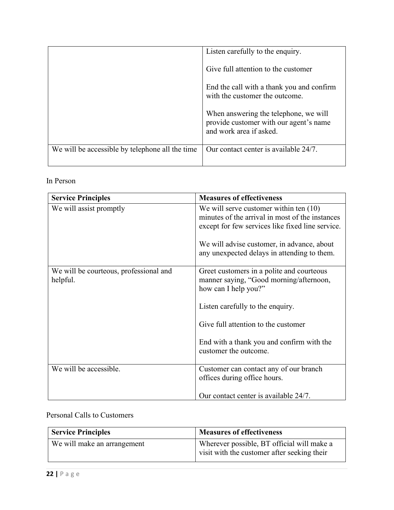|                                                 | Listen carefully to the enquiry.                                                                           |  |
|-------------------------------------------------|------------------------------------------------------------------------------------------------------------|--|
|                                                 | Give full attention to the customer                                                                        |  |
|                                                 | End the call with a thank you and confirm<br>with the customer the outcome.                                |  |
|                                                 | When answering the telephone, we will<br>provide customer with our agent's name<br>and work area if asked. |  |
| We will be accessible by telephone all the time | Our contact center is available 24/7.                                                                      |  |
|                                                 |                                                                                                            |  |

# In Person

| <b>Service Principles</b>                          | <b>Measures of effectiveness</b>                                                                                                                |
|----------------------------------------------------|-------------------------------------------------------------------------------------------------------------------------------------------------|
| We will assist promptly                            | We will serve customer within ten $(10)$<br>minutes of the arrival in most of the instances<br>except for few services like fixed line service. |
|                                                    | We will advise customer, in advance, about<br>any unexpected delays in attending to them.                                                       |
| We will be courteous, professional and<br>helpful. | Greet customers in a polite and courteous<br>manner saying, "Good morning/afternoon,<br>how can I help you?"                                    |
|                                                    | Listen carefully to the enquiry.                                                                                                                |
|                                                    | Give full attention to the customer                                                                                                             |
|                                                    | End with a thank you and confirm with the<br>customer the outcome.                                                                              |
| We will be accessible.                             | Customer can contact any of our branch<br>offices during office hours.                                                                          |
|                                                    | Our contact center is available 24/7.                                                                                                           |

# Personal Calls to Customers

| <b>Service Principles</b>   | <b>Measures of effectiveness</b>                                                          |  |
|-----------------------------|-------------------------------------------------------------------------------------------|--|
| We will make an arrangement | Wherever possible, BT official will make a<br>visit with the customer after seeking their |  |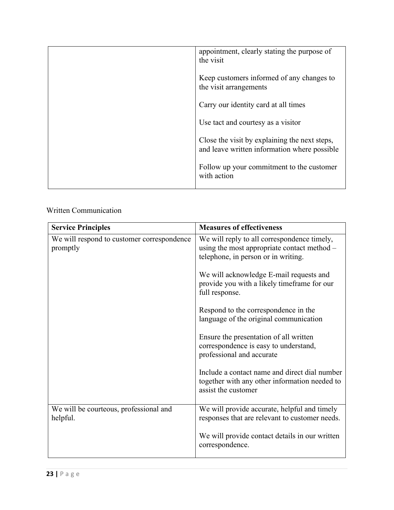|  | appointment, clearly stating the purpose of<br>the visit                                      |  |
|--|-----------------------------------------------------------------------------------------------|--|
|  | Keep customers informed of any changes to<br>the visit arrangements                           |  |
|  | Carry our identity card at all times                                                          |  |
|  | Use tact and courtesy as a visitor                                                            |  |
|  | Close the visit by explaining the next steps,<br>and leave written information where possible |  |
|  | Follow up your commitment to the customer<br>with action                                      |  |
|  |                                                                                               |  |

# Written Communication

| <b>Service Principles</b>                              | <b>Measures of effectiveness</b>                                                                                                  |
|--------------------------------------------------------|-----------------------------------------------------------------------------------------------------------------------------------|
| We will respond to customer correspondence<br>promptly | We will reply to all correspondence timely,<br>using the most appropriate contact method -<br>telephone, in person or in writing. |
|                                                        | We will acknowledge E-mail requests and<br>provide you with a likely timeframe for our<br>full response.                          |
|                                                        | Respond to the correspondence in the<br>language of the original communication                                                    |
|                                                        | Ensure the presentation of all written<br>correspondence is easy to understand,<br>professional and accurate                      |
|                                                        | Include a contact name and direct dial number<br>together with any other information needed to<br>assist the customer             |
| We will be courteous, professional and<br>helpful.     | We will provide accurate, helpful and timely<br>responses that are relevant to customer needs.                                    |
|                                                        | We will provide contact details in our written<br>correspondence.                                                                 |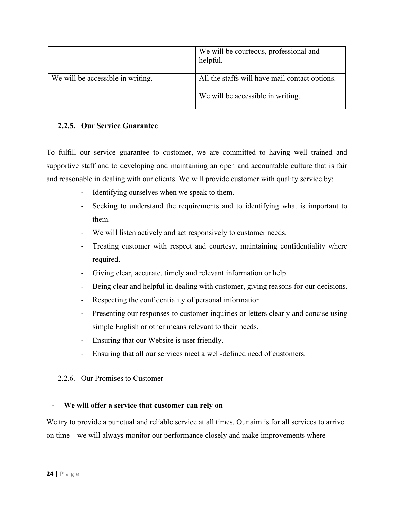|                                   | We will be courteous, professional and<br>helpful. |
|-----------------------------------|----------------------------------------------------|
| We will be accessible in writing. | All the staffs will have mail contact options.     |
|                                   | We will be accessible in writing.                  |

# <span id="page-23-0"></span>**2.2.5. Our Service Guarantee**

To fulfill our service guarantee to customer, we are committed to having well trained and supportive staff and to developing and maintaining an open and accountable culture that is fair and reasonable in dealing with our clients. We will provide customer with quality service by:

- Identifying ourselves when we speak to them.
- Seeking to understand the requirements and to identifying what is important to them.
- We will listen actively and act responsively to customer needs.
- Treating customer with respect and courtesy, maintaining confidentiality where required.
- Giving clear, accurate, timely and relevant information or help.
- Being clear and helpful in dealing with customer, giving reasons for our decisions.
- Respecting the confidentiality of personal information.
- Presenting our responses to customer inquiries or letters clearly and concise using simple English or other means relevant to their needs.
- Ensuring that our Website is user friendly.
- Ensuring that all our services meet a well-defined need of customers.

# <span id="page-23-1"></span>2.2.6. Our Promises to Customer

# - **We will offer a service that customer can rely on**

We try to provide a punctual and reliable service at all times. Our aim is for all services to arrive on time – we will always monitor our performance closely and make improvements where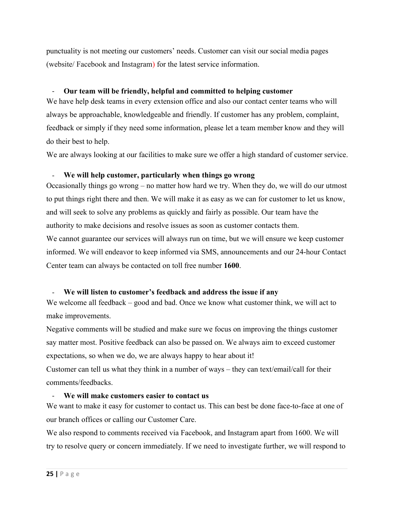punctuality is not meeting our customers' needs. Customer can visit our social media pages (website/ Facebook and Instagram) for the latest service information.

#### - **Our team will be friendly, helpful and committed tohelping customer**

We have help desk teams in every extension office and also our contact center teams who will always be approachable, knowledgeable and friendly. If customer has any problem, complaint, feedback or simply if they need some information, please let a team member know and they will do their best to help.

We are always looking at our facilities to make sure we offer a high standard of customer service.

### - **We will help customer, particularly when things go wrong**

Occasionally things go wrong – no matter how hard we try. When they do, we will do our utmost to put things right there and then. We will make it as easy as we can for customer to let us know, and will seek to solve any problems as quickly and fairly as possible. Our team have the authority to make decisions and resolve issues as soon as customer contacts them.

We cannot guarantee our services will always run on time, but we will ensure we keep customer informed. We will endeavor to keep informed via SMS, announcements and our 24-hour Contact Center team can always be contacted on toll free number **1600**.

# - **We will listen tocustomer's feedback and address the issue if any**

We welcome all feedback  $-$  good and bad. Once we know what customer think, we will act to make improvements.

Negative comments will be studied and make sure we focus on improving the things customer say matter most. Positive feedback can also be passed on. We always aim to exceed customer expectations, so when we do, we are always happy to hear about it!

Customer can tell us what they think in a number of ways – they can text/email/call for their comments/feedbacks.

#### - **We will make customers easier to contact us**

We want to make it easy for customer to contact us. This can best be done face-to-face at one of our branch offices or calling our Customer Care.

We also respond to comments received via Facebook, and Instagram apart from 1600. We will try to resolve query or concern immediately. If we need to investigate further, we will respond to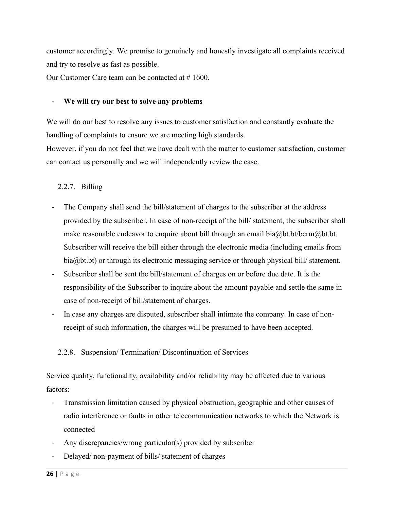customer accordingly. We promise to genuinely and honestly investigate all complaints received and try to resolve as fast as possible.

Our Customer Care team can be contacted at # 1600.

# - **We will try our best to solve any problems**

We will do our best to resolve any issues to customer satisfaction and constantly evaluate the handling of complaints to ensure we are meeting high standards.

However, if you do not feel that we have dealt with the matter to customer satisfaction, customer can contact us personally and we will independently review the case.

# <span id="page-25-0"></span>2.2.7. Billing

- The Company shall send the bill/statement of charges to the subscriber at the address provided by the subscriber. In case of non-receipt of the bill/ statement, the subscriber shall make reasonable endeavor to enquire about bill through an email bia $@$ bt.bt/bcrm $@$ bt.bt. Subscriber will receive the bill either through the electronic media (including emails from bia@bt.bt) or through its electronic messaging service or through physical bill/ statement.
- Subscriber shall be sent the bill/statement of charges on or before due date. It is the responsibility of the Subscriber to inquire about the amount payable and settle the same in case of non-receipt of bill/statement of charges.
- In case any charges are disputed, subscriber shall intimate the company. In case of nonreceipt of such information, the charges will be presumed to have been accepted.

# <span id="page-25-1"></span>2.2.8. Suspension/ Termination/ Discontinuation of Services

Service quality, functionality, availability and/or reliability may be affected due to various factors:

- Transmission limitation caused by physical obstruction, geographic and other causes of radio interference or faults in other telecommunication networks to which the Network is connected
- Any discrepancies/wrong particular(s) provided by subscriber
- Delayed/ non-payment of bills/ statement of charges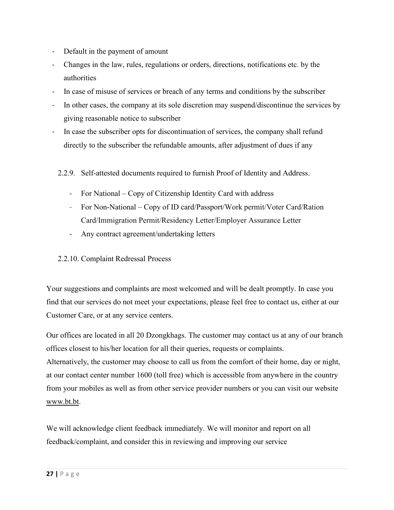- Default in the payment of amount
- Changes in the law, rules, regulations ororders, directions, notifications etc. by the authorities
- In case of misuse of services or breach of any terms and conditions by the subscriber
- In other cases, the company at its sole discretion may suspend/discontinue the services by giving reasonable notice to subscriber
- <span id="page-26-0"></span>In case the subscriber opts for discontinuation of services, the company shall refund directly to the subscriber the refundable amounts, after adjustment of dues if any
	- 2.2.9. Self-attested documents required to furnish Proof of Identity and Address.
		- For National Copy of Citizenship Identity Card with address
		- For Non-National Copy of ID card/Passport/Work permit/Voter Card/Ration Card/Immigration Permit/Residency Letter/Employer Assurance Letter
		- Any contract agreement/undertaking letters
	- 2.2.10. Complaint Redressal Process

<span id="page-26-1"></span>Your suggestions and complaints are most welcomed and will be dealt promptly. In case you find that our services do not meet your expectations, please feel free to contact us, either at our Customer Care, or at any service centers.

Our offices are located in all 20 Dzongkhags. The customer may contact us at any of our branch offices closest to his/her location for all their queries, requests orcomplaints. Alternatively, the customer may choose to call us from the comfort of their home, day or night, at our contact center number 1600 (toll free) which is accessible from anywhere in the country from your mobiles as well as from other service provider numbers oryou can visit our website [www.bt.bt.](http://www.bt.bt)

We will acknowledge client feedback immediately. We will monitor and report on all feedback/complaint, and consider this in reviewing and improving our service